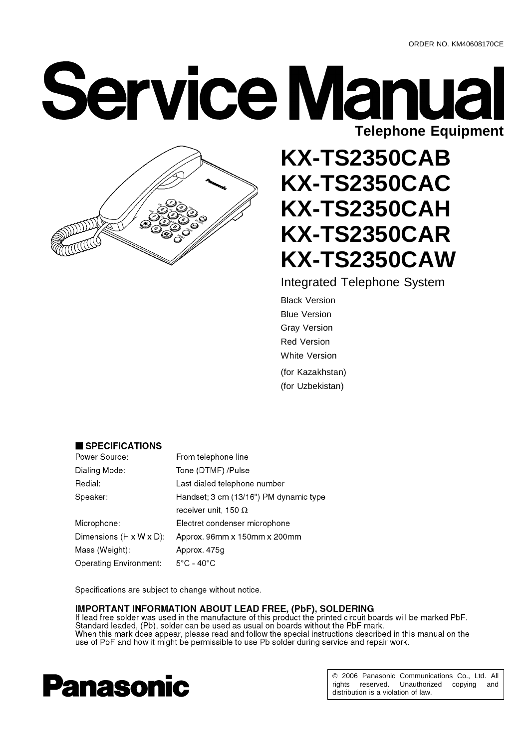**Service Manual Telephone Equipment**



# **KX-TS2350CAB KX-TS2350CAC KX-TS2350CAH KX-TS2350CAR KX-TS2350CAW**

Integrated Telephone System

Black Version Blue Version Gray Version Red Version White Version (for Kazakhstan) (for Uzbekistan)

#### SPECIFICATIONS

| Power Source:                        | From telephone line                    |
|--------------------------------------|----------------------------------------|
| Dialing Mode:                        | Tone (DTMF) /Pulse                     |
| Redial:                              | Last dialed telephone number           |
| Speaker:                             | Handset; 3 cm (13/16") PM dynamic type |
|                                      | receiver unit, 150 $\Omega$            |
| Microphone:                          | Electret condenser microphone          |
| Dimensions $(H \times W \times D)$ : | Approx. 96mm x 150mm x 200mm           |
| Mass (Weight):                       | Approx. 475g                           |
| <b>Operating Environment:</b>        | $5^{\circ}$ C - 40 $^{\circ}$ C        |

Specifications are subject to change without notice.

**IMPORTANT INFORMATION ABOUT LEAD FREE, (PbF), SOLDERING**<br>If lead free solder was used in the manufacture of this product the printed circuit boards will be marked PbF. Standard leaded, (Pb), solder can be used as usual on boards without the PbF mark. When this mark does appear, please read and follow the special instructions described in this manual on the use of PbF and how it might be permissible to use Pb solder during service and repair work.



© 2006 Panasonic Communications Co., Ltd. All rights reserved. Unauthorized copying and distribution is a violation of law.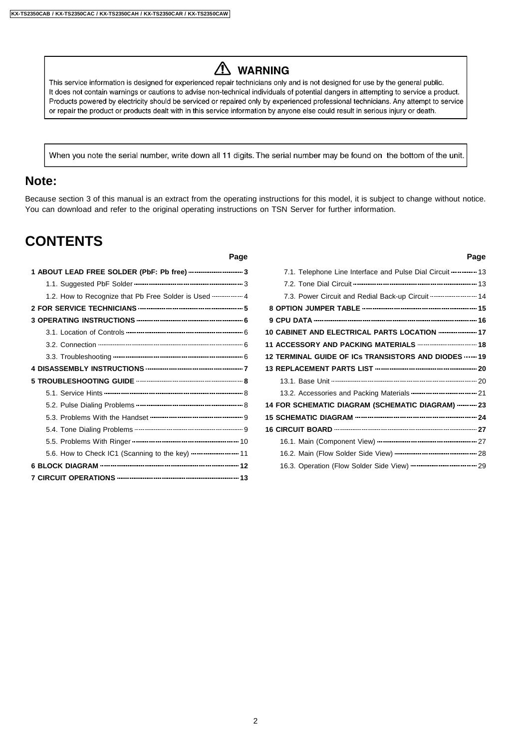# A WARNING

This service information is designed for experienced repair technicians only and is not designed for use by the general public. It does not contain warnings or cautions to advise non-technical individuals of potential dangers in attempting to service a product. Products powered by electricity should be serviced or repaired only by experienced professional technicians. Any attempt to service or repair the product or products dealt with in this service information by anyone else could result in serious injury or death.

When you note the serial number, write down all 11 digits. The serial number may be found on the bottom of the unit.

#### **Note:**

Because section 3 of this manual is an extract from the operating instructions for this model, it is subject to change without notice. You can download and refer to the original operating instructions on TSN Server for further information.

## **CONTENTS**

#### **Page Page**

| 1.2. How to Recognize that Pb Free Solder is Used  4 |  |
|------------------------------------------------------|--|
|                                                      |  |
|                                                      |  |
|                                                      |  |
|                                                      |  |
|                                                      |  |
|                                                      |  |
|                                                      |  |
|                                                      |  |
|                                                      |  |
|                                                      |  |
|                                                      |  |
|                                                      |  |
| 5.6. How to Check IC1 (Scanning to the key)  11      |  |
|                                                      |  |
|                                                      |  |

| 7.1. Telephone Line Interface and Pulse Dial Circuit ----------- 13        |  |
|----------------------------------------------------------------------------|--|
|                                                                            |  |
| 7.3. Power Circuit and Redial Back-up Circuit  14                          |  |
|                                                                            |  |
|                                                                            |  |
| 10 CABINET AND ELECTRICAL PARTS LOCATION  17                               |  |
| 11 ACCESSORY AND PACKING MATERIALS ---------------------------- 18         |  |
| 12 TERMINAL GUIDE OF ICs TRANSISTORS AND DIODES  19                        |  |
|                                                                            |  |
|                                                                            |  |
| 13.2. Accessories and Packing Materials ------------------------------- 21 |  |
| 14 FOR SCHEMATIC DIAGRAM (SCHEMATIC DIAGRAM)  23                           |  |
|                                                                            |  |
|                                                                            |  |
|                                                                            |  |
|                                                                            |  |
|                                                                            |  |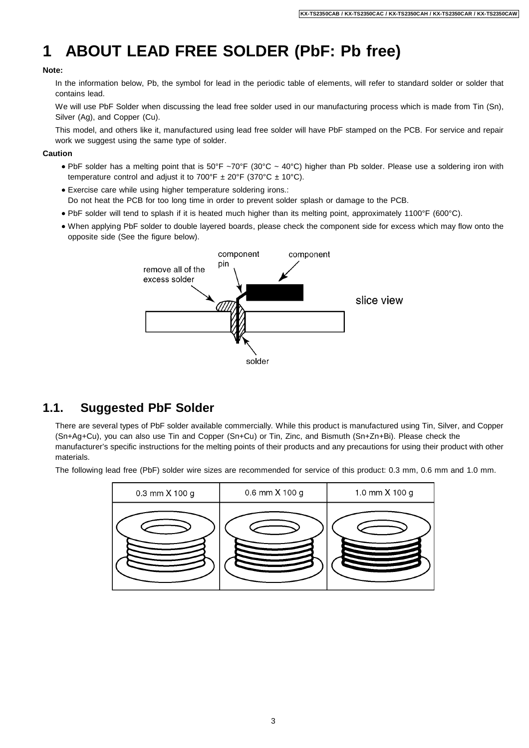# **1 ABOUT LEAD FREE SOLDER (PbF: Pb free)**

#### **Note:**

In the information below, Pb, the symbol for lead in the periodic table of elements, will refer to standard solder or solder that contains lead.

We will use PbF Solder when discussing the lead free solder used in our manufacturing process which is made from Tin (Sn), Silver (Ag), and Copper (Cu).

This model, and others like it, manufactured using lead free solder will have PbF stamped on the PCB. For service and repair work we suggest using the same type of solder.

#### **Caution**

- PbF solder has a melting point that is 50°F ~70°F (30°C ~ 40°C) higher than Pb solder. Please use a soldering iron with temperature control and adjust it to  $700^{\circ}F \pm 20^{\circ}F$  (370°C  $\pm$  10°C).
- Exercise care while using higher temperature soldering irons.: Do not heat the PCB for too long time in order to prevent solder splash or damage to the PCB.
- PbF solder will tend to splash if it is heated much higher than its melting point, approximately 1100°F (600°C).
- When applying PbF solder to double layered boards, please check the component side for excess which may flow onto the opposite side (See the figure below).



## **1.1. Suggested PbF Solder**

There are several types of PbF solder available commercially. While this product is manufactured using Tin, Silver, and Copper (Sn+Ag+Cu), you can also use Tin and Copper (Sn+Cu) or Tin, Zinc, and Bismuth (Sn+Zn+Bi). Please check the manufacturer's specific instructions for the melting points of their products and any precautions for using their product with other materials.

The following lead free (PbF) solder wire sizes are recommended for service of this product: 0.3 mm, 0.6 mm and 1.0 mm.

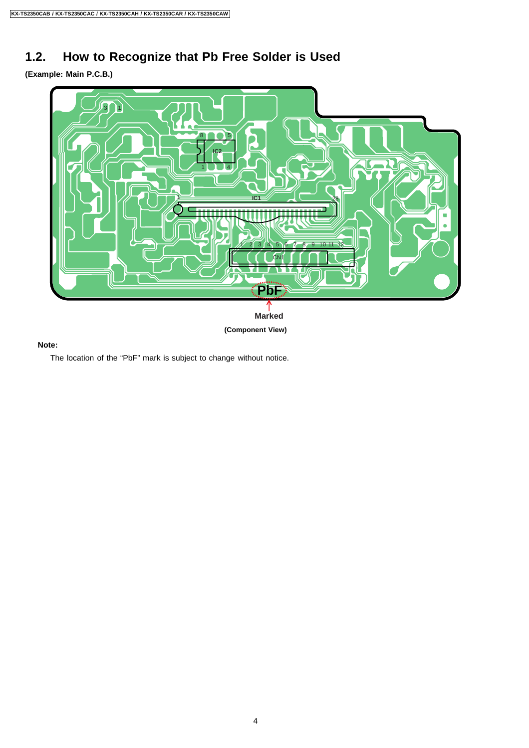# **1.2. How to Recognize that Pb Free Solder is Used**

**(Example: Main P.C.B.)**



#### **Note:**

The location of the "PbF" mark is subject to change without notice.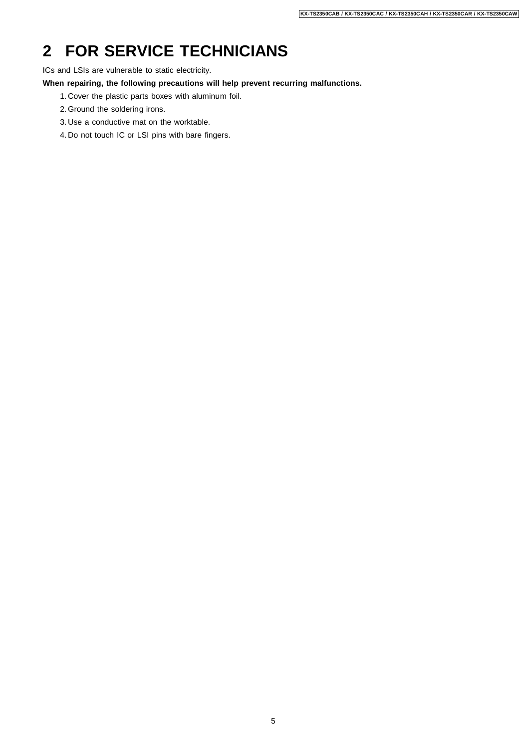# **2 FOR SERVICE TECHNICIANS**

ICs and LSIs are vulnerable to static electricity.

**When repairing, the following precautions will help prevent recurring malfunctions.**

- 1. Cover the plastic parts boxes with aluminum foil.
- 2. Ground the soldering irons.
- 3. Use a conductive mat on the worktable.
- 4. Do not touch IC or LSI pins with bare fingers.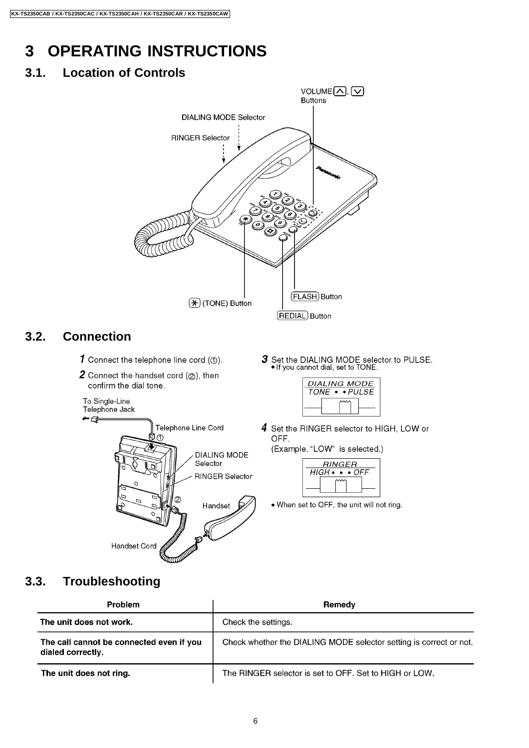# **3 OPERATING INSTRUCTIONS**

# **3.1. Location of Controls**

The unit does not ring.

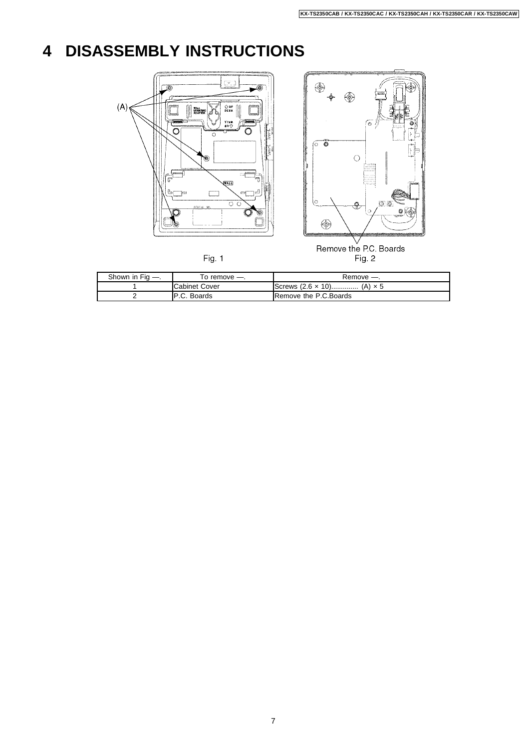# **4 DISASSEMBLY INSTRUCTIONS**



Fig. 1



| Shown in Fig —. | l o remove —.        | Remove -                                       |
|-----------------|----------------------|------------------------------------------------|
|                 | <b>Cabinet Cover</b> | $I$ Screws $(2.6 \times 10)$<br>$(A) \times 5$ |
|                 | IP.C. Boards         | <b>IRemove the P.C.Boards</b>                  |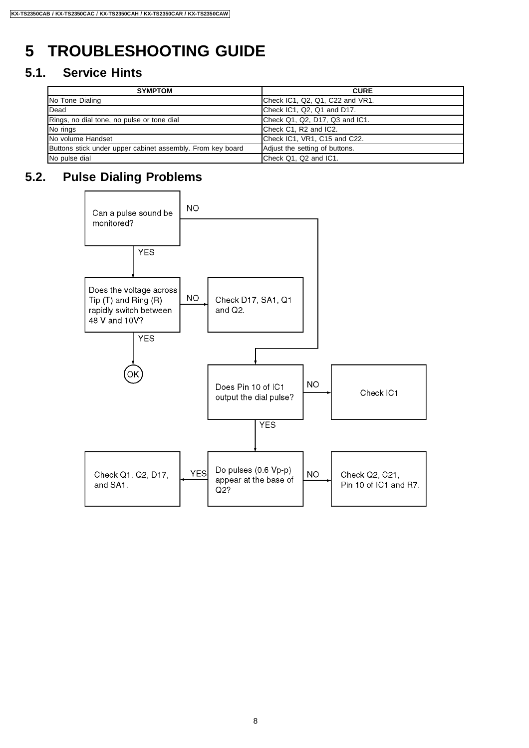# **5 TROUBLESHOOTING GUIDE**

## **5.1. Service Hints**

| <b>SYMPTOM</b>                                             | <b>CURE</b>                     |
|------------------------------------------------------------|---------------------------------|
| No Tone Dialing                                            | Check IC1, Q2, Q1, C22 and VR1. |
| <b>IDead</b>                                               | Check IC1, Q2, Q1 and D17.      |
| Rings, no dial tone, no pulse or tone dial                 | Check Q1, Q2, D17, Q3 and IC1.  |
| No rings                                                   | Check C1, R2 and IC2.           |
| <b>INo volume Handset</b>                                  | Check IC1, VR1, C15 and C22.    |
| Buttons stick under upper cabinet assembly. From key board | Adjust the setting of buttons.  |
| No pulse dial                                              | Check Q1, Q2 and IC1.           |

# **5.2. Pulse Dialing Problems**

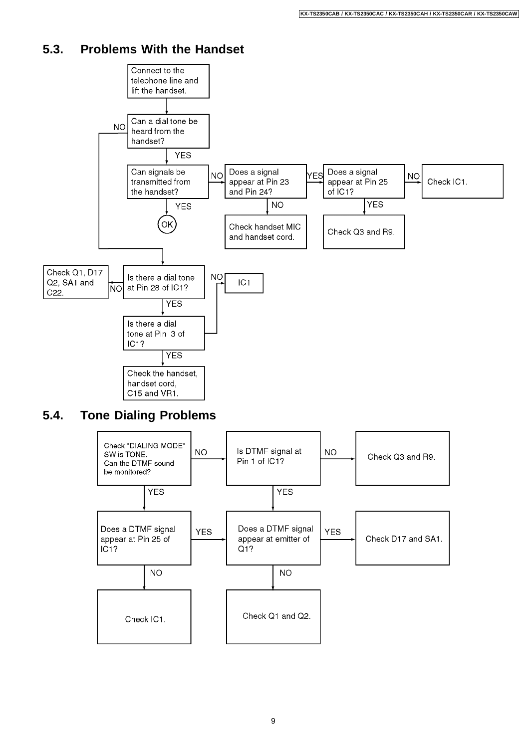## **5.3. Problems With the Handset**



## **5.4. Tone Dialing Problems**

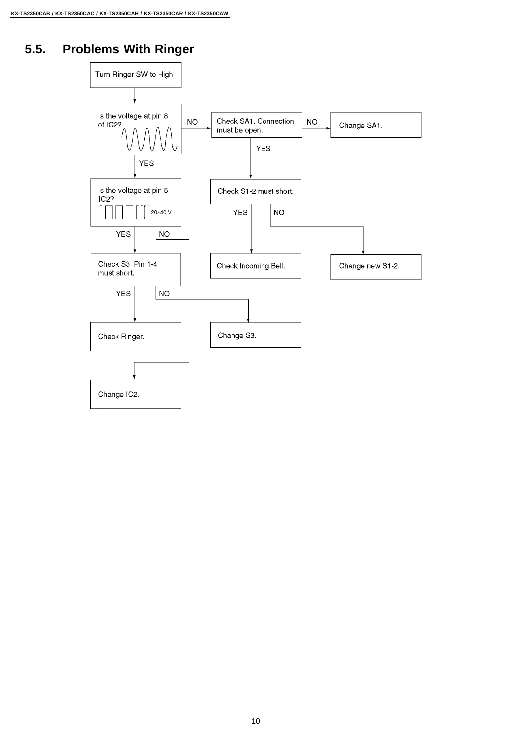# **5.5. Problems With Ringer**

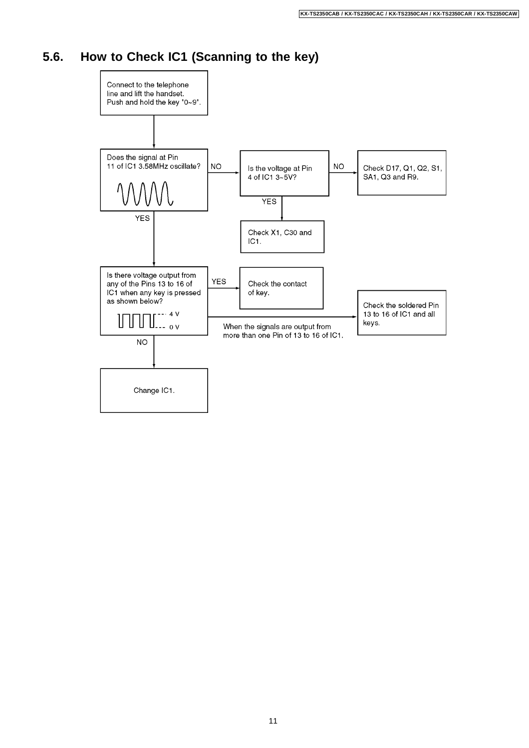## **5.6. How to Check IC1 (Scanning to the key)**

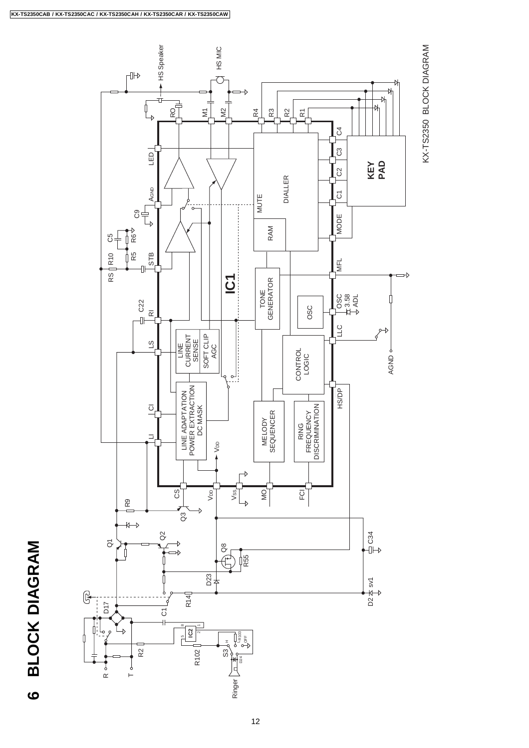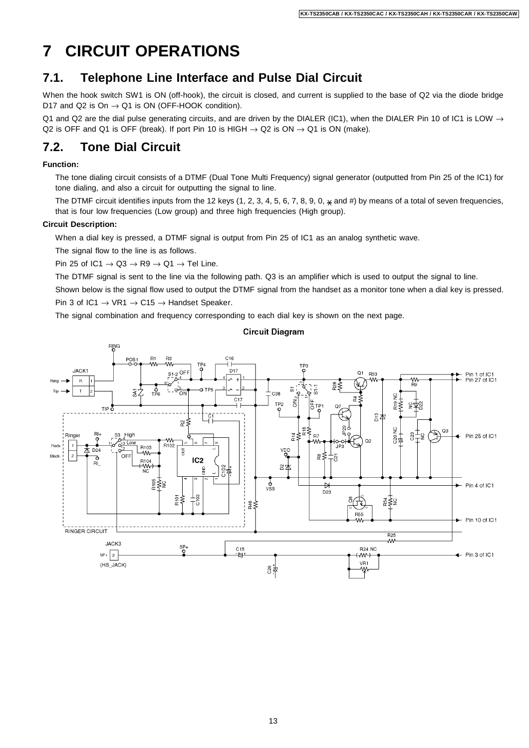# **7 CIRCUIT OPERATIONS**

## **7.1. Telephone Line Interface and Pulse Dial Circuit**

When the hook switch SW1 is ON (off-hook), the circuit is closed, and current is supplied to the base of Q2 via the diode bridge D17 and Q2 is On  $\rightarrow$  Q1 is ON (OFF-HOOK condition).

Q1 and Q2 are the dial pulse generating circuits, and are driven by the DIALER (IC1), when the DIALER Pin 10 of IC1 is LOW  $\rightarrow$ Q2 is OFF and Q1 is OFF (break). If port Pin 10 is HIGH  $\rightarrow$  Q2 is ON  $\rightarrow$  Q1 is ON (make).

## **7.2. Tone Dial Circuit**

#### **Function:**

The tone dialing circuit consists of a DTMF (Dual Tone Multi Frequency) signal generator (outputted from Pin 25 of the IC1) for tone dialing, and also a circuit for outputting the signal to line.

The DTMF circuit identifies inputs from the 12 keys (1, 2, 3, 4, 5, 6, 7, 8, 9, 0,  $\star$  and #) by means of a total of seven frequencies, that is four low frequencies (Low group) and three high frequencies (High group).

#### **Circuit Description:**

When a dial key is pressed, a DTMF signal is output from Pin 25 of IC1 as an analog synthetic wave.

The signal flow to the line is as follows.

Pin 25 of IC1  $\rightarrow$  Q3  $\rightarrow$  R9  $\rightarrow$  Q1  $\rightarrow$  Tel Line.

The DTMF signal is sent to the line via the following path. Q3 is an amplifier which is used to output the signal to line.

Shown below is the signal flow used to output the DTMF signal from the handset as a monitor tone when a dial key is pressed. Pin 3 of IC1  $\rightarrow$  VR1  $\rightarrow$  C15  $\rightarrow$  Handset Speaker.

The signal combination and frequency corresponding to each dial key is shown on the next page.

#### **Circuit Diagram**

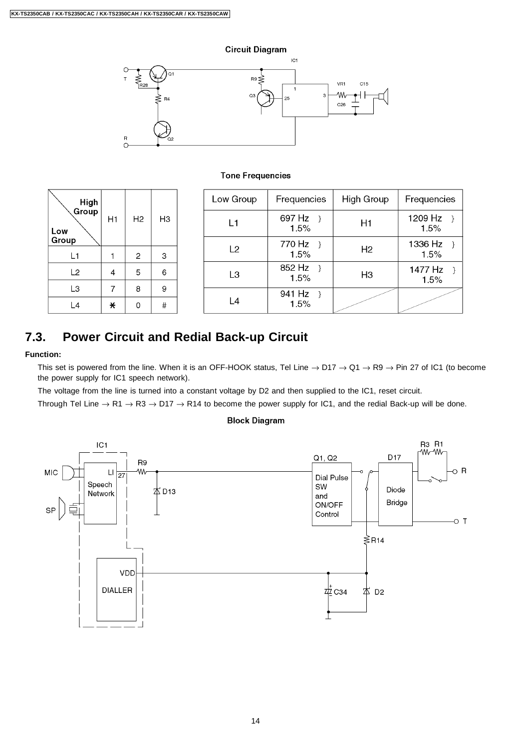#### **Circuit Diagram**



#### **Tone Frequencies**

| High           |         |                |    | Low Group      | Frequencies         | High Group     | Frequencies     |
|----------------|---------|----------------|----|----------------|---------------------|----------------|-----------------|
| Group<br>Low   | H1      | H <sub>2</sub> | HЗ | L1             | 697 Hz<br>1.5%      | H1             | 1209 Hz<br>1.5% |
| Group          |         |                |    | L <sub>2</sub> | 770 Hz              | H <sub>2</sub> | 1336 Hz         |
| L1             |         | 2              | 3  |                | 1.5%                |                | 1.5%            |
| L2             | 4       | 5              | 6  | L <sub>3</sub> | 852 Hz $\}$<br>1.5% | H <sub>3</sub> | 1477 Hz<br>1.5% |
| L <sub>3</sub> | 7       | 8              | 9  |                | 941 Hz              |                |                 |
| L4             | $\star$ | 0              | #  | L4             | 1.5%                |                |                 |

## **7.3. Power Circuit and Redial Back-up Circuit**

#### **Function:**

This set is powered from the line. When it is an OFF-HOOK status, Tel Line  $\rightarrow$  D17  $\rightarrow$  Q1  $\rightarrow$  R9  $\rightarrow$  Pin 27 of IC1 (to become the power supply for IC1 speech network).

The voltage from the line is turned into a constant voltage by D2 and then supplied to the IC1, reset circuit.

Through Tel Line  $\rightarrow$  R1  $\rightarrow$  R3  $\rightarrow$  D17  $\rightarrow$  R14 to become the power supply for IC1, and the redial Back-up will be done.

#### **Block Diagram**

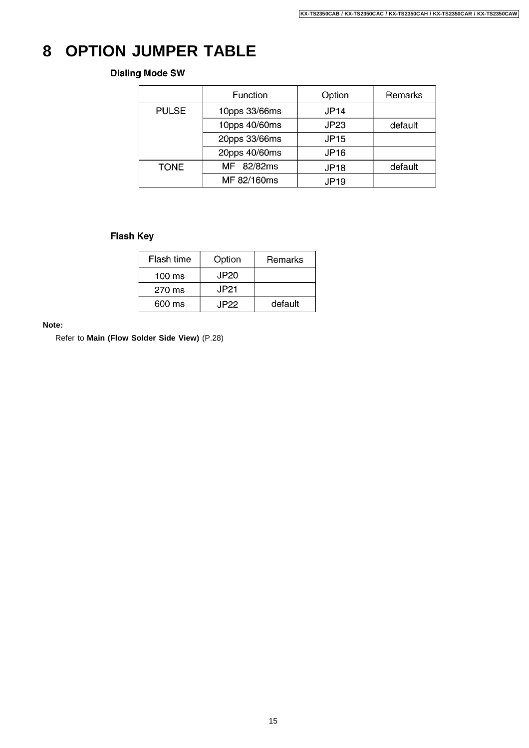# **8 OPTION JUMPER TABLE**

#### **Dialing Mode SW**

|              | Function      | Option           | Remarks |
|--------------|---------------|------------------|---------|
| <b>PULSE</b> | 10pps 33/66ms | <b>JP14</b>      |         |
|              | 10pps 40/60ms | JP23             | default |
|              | 20pps 33/66ms | <b>JP15</b>      |         |
|              | 20pps 40/60ms | <b>JP16</b>      |         |
| <b>TONE</b>  | MF 82/82ms    | JP <sub>18</sub> | default |
|              | MF 82/160ms   | <b>JP19</b>      |         |

## **Flash Key**

| Flash time       | Option | Remarks |
|------------------|--------|---------|
| $100 \text{ ms}$ | JP20   |         |
| 270 ms           | JP21   |         |
| 600 ms           | JP22.  | default |

#### **Note:**

Refer to **Main (Flow Solder Side View)** (P.28)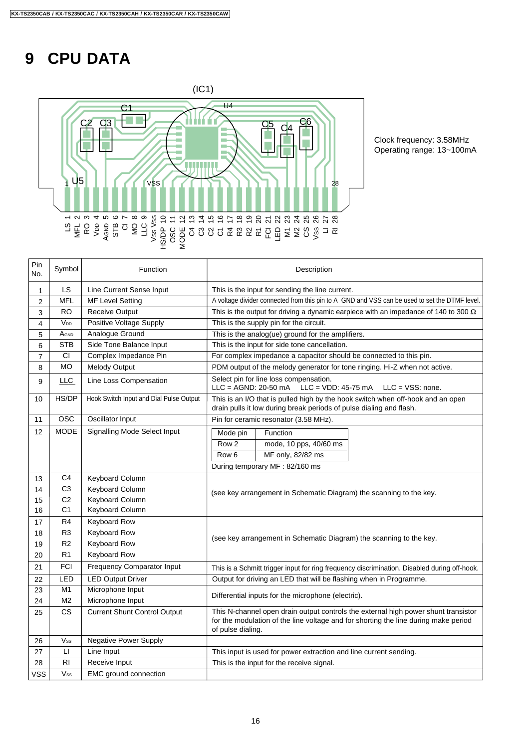# **9 CPU DATA**



Clock frequency: 3.58MHz Operating range: 13~100mA

| Pin<br>No.     | Symbol          | Function                                | Description                                                                                                                                                                                    |  |  |
|----------------|-----------------|-----------------------------------------|------------------------------------------------------------------------------------------------------------------------------------------------------------------------------------------------|--|--|
| 1              | LS.             | Line Current Sense Input                | This is the input for sending the line current.                                                                                                                                                |  |  |
| $\overline{2}$ | <b>MFL</b>      | <b>MF Level Setting</b>                 | A voltage divider connected from this pin to A GND and VSS can be used to set the DTMF level.                                                                                                  |  |  |
| 3              | RO              | <b>Receive Output</b>                   | This is the output for driving a dynamic earpiece with an impedance of 140 to 300 $\Omega$                                                                                                     |  |  |
| 4              | V <sub>DD</sub> | Positive Voltage Supply                 | This is the supply pin for the circuit.                                                                                                                                                        |  |  |
| 5              | AGND            | Analogue Ground                         | This is the analog(ue) ground for the amplifiers.                                                                                                                                              |  |  |
| 6              | <b>STB</b>      | Side Tone Balance Input                 | This is the input for side tone cancellation.                                                                                                                                                  |  |  |
| $\overline{7}$ | CI.             | Complex Impedance Pin                   | For complex impedance a capacitor should be connected to this pin.                                                                                                                             |  |  |
| 8              | <b>MO</b>       | Melody Output                           | PDM output of the melody generator for tone ringing. Hi-Z when not active.                                                                                                                     |  |  |
| 9              | LLC             | Line Loss Compensation                  | Select pin for line loss compensation.<br>$LLC = AGND: 20-50 mA$<br>$LLC = VDD: 45-75 mA$<br>$LLC = VSS: none.$                                                                                |  |  |
| 10             | HS/DP           | Hook Switch Input and Dial Pulse Output | This is an I/O that is pulled high by the hook switch when off-hook and an open<br>drain pulls it low during break periods of pulse dialing and flash.                                         |  |  |
| 11             | <b>OSC</b>      | Oscillator Input                        | Pin for ceramic resonator (3.58 MHz).                                                                                                                                                          |  |  |
| 12             | <b>MODE</b>     | Signalling Mode Select Input            | Mode pin<br>Function                                                                                                                                                                           |  |  |
|                |                 |                                         | Row <sub>2</sub><br>mode, 10 pps, 40/60 ms                                                                                                                                                     |  |  |
|                |                 |                                         | Row <sub>6</sub><br>MF only, 82/82 ms                                                                                                                                                          |  |  |
|                |                 |                                         | During temporary MF: 82/160 ms                                                                                                                                                                 |  |  |
| 13             | C <sub>4</sub>  | Keyboard Column                         |                                                                                                                                                                                                |  |  |
| 14             | C <sub>3</sub>  | <b>Keyboard Column</b>                  | (see key arrangement in Schematic Diagram) the scanning to the key.                                                                                                                            |  |  |
| 15             | C <sub>2</sub>  | Keyboard Column                         |                                                                                                                                                                                                |  |  |
| 16             | C <sub>1</sub>  | Keyboard Column                         |                                                                                                                                                                                                |  |  |
| 17             | R4              | Keyboard Row                            |                                                                                                                                                                                                |  |  |
| 18             | R <sub>3</sub>  | Keyboard Row                            | (see key arrangement in Schematic Diagram) the scanning to the key.                                                                                                                            |  |  |
| 19             | R <sub>2</sub>  | Keyboard Row                            |                                                                                                                                                                                                |  |  |
| 20             | R <sub>1</sub>  | Keyboard Row                            |                                                                                                                                                                                                |  |  |
| 21             | <b>FCI</b>      | <b>Frequency Comparator Input</b>       | This is a Schmitt trigger input for ring frequency discrimination. Disabled during off-hook.                                                                                                   |  |  |
| 22             | LED             | <b>LED Output Driver</b>                | Output for driving an LED that will be flashing when in Programme.                                                                                                                             |  |  |
| 23             | M1              | Microphone Input                        | Differential inputs for the microphone (electric).                                                                                                                                             |  |  |
| 24             | M <sub>2</sub>  | Microphone Input                        |                                                                                                                                                                                                |  |  |
| 25             | <b>CS</b>       | <b>Current Shunt Control Output</b>     | This N-channel open drain output controls the external high power shunt transistor<br>for the modulation of the line voltage and for shorting the line during make period<br>of pulse dialing. |  |  |
| 26             | $V_{SS}$        | <b>Negative Power Supply</b>            |                                                                                                                                                                                                |  |  |
| 27             | П               | Line Input                              | This input is used for power extraction and line current sending.                                                                                                                              |  |  |
| 28             | RI              | Receive Input                           | This is the input for the receive signal.                                                                                                                                                      |  |  |
| <b>VSS</b>     | Vss             | EMC ground connection                   |                                                                                                                                                                                                |  |  |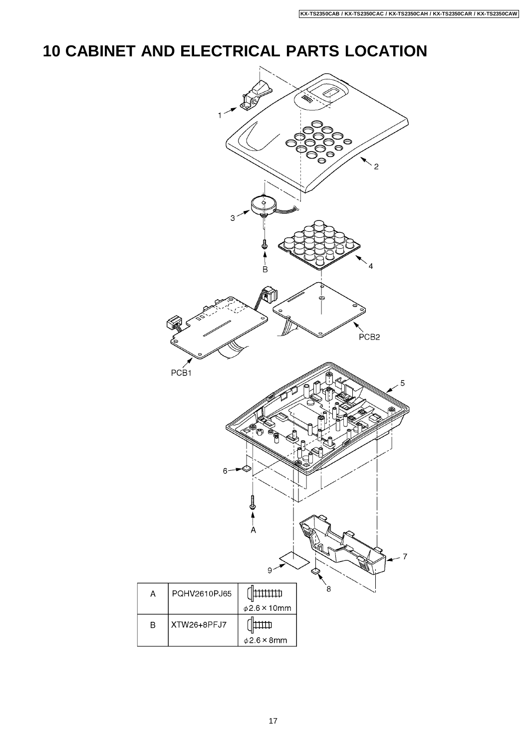# **10 CABINET AND ELECTRICAL PARTS LOCATION**

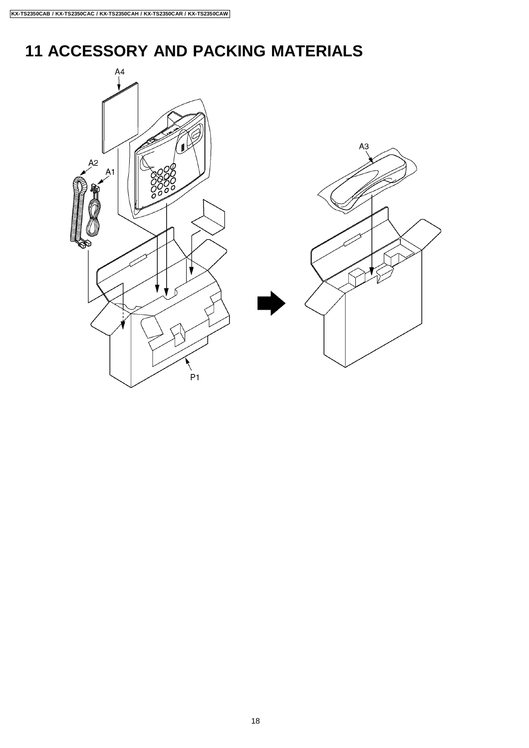# **11 ACCESSORY AND PACKING MATERIALS**

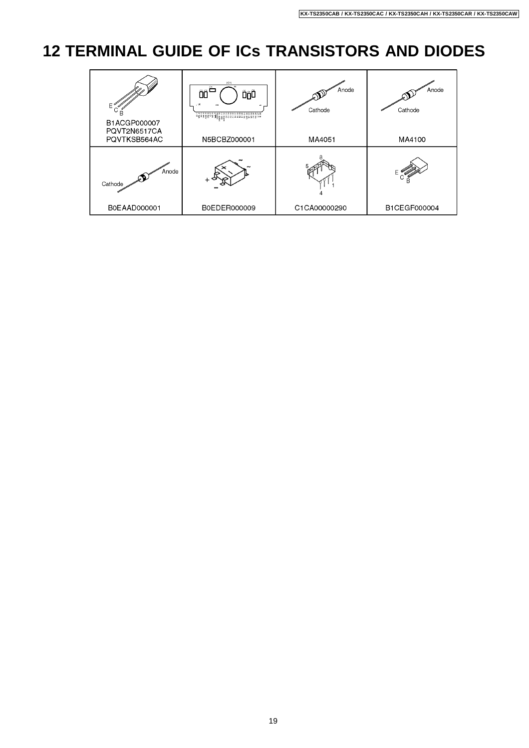# **12 TERMINAL GUIDE OF ICs TRANSISTORS AND DIODES**

| Е<br>B1ACGP000007<br>PQVT2N6517CA | (101)<br>Ë<br>ÕÕ<br>ŐõÔ<br>, 16 | Anode<br>Cathode | Anode<br>Cathode |
|-----------------------------------|---------------------------------|------------------|------------------|
| PQVTKSB564AC                      | N5BCBZ000001                    | MA4051           | MA4100           |
| Anode<br>Cathode                  |                                 |                  |                  |
| B0EAAD000001                      | B0EDER000009                    | C1CA00000290     | B1CEGF000004     |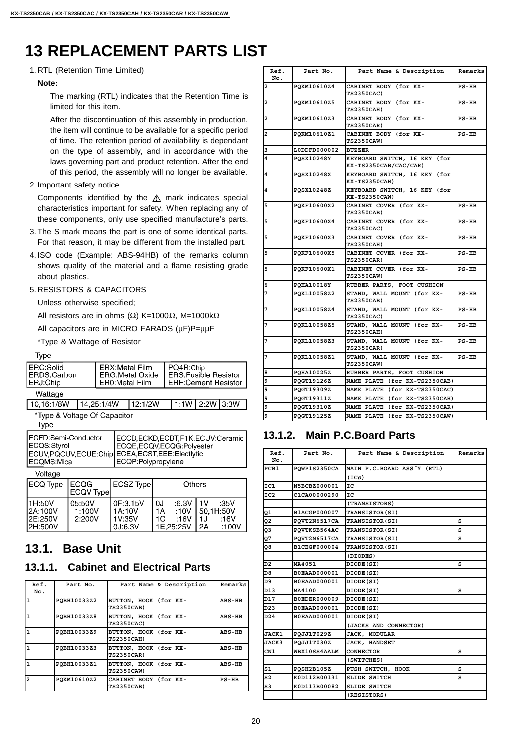# **13 REPLACEMENT PARTS LIST**

#### 1. RTL (Retention Time Limited)

#### **Note:**

The marking (RTL) indicates that the Retention Time is limited for this item.

After the discontinuation of this assembly in production, the item will continue to be available for a specific period of time. The retention period of availability is dependant on the type of assembly, and in accordance with the laws governing part and product retention. After the end of this period, the assembly will no longer be available.

#### 2. Important safety notice

Components identified by the  $\triangle$  mark indicates special characteristics important for safety. When replacing any of these components, only use specified manufacture's parts.

- 3. The S mark means the part is one of some identical parts. For that reason, it may be different from the installed part.
- 4. ISO code (Example: ABS-94HB) of the remarks column shows quality of the material and a flame resisting grade about plastics.

#### 5. RESISTORS & CAPACITORS

Unless otherwise specified;

All resistors are in ohms ( $Ω$ ) K=1000 $Ω$ , M=1000k $Ω$ 

All capacitors are in MICRO FARADS (uF)P=uuF

\*Type & Wattage of Resistor

Type

| ERC:Solid<br>ERDS:Carbon<br>ERJ:Chip                            | ERX:Metal Film<br>l ERG:Metal Oxide<br><b>ER0:Metal Film</b> | PQ4R:Chip<br><b>ERS:Fusible Resistor</b><br><b>ERF:Cement Resistor</b> |  |            |
|-----------------------------------------------------------------|--------------------------------------------------------------|------------------------------------------------------------------------|--|------------|
| Wattage                                                         |                                                              |                                                                        |  |            |
| $\overline{10}$ $\overline{10}$ $\overline{10}$ $\overline{10}$ | $\sim$ $\sim$ $\sim$ $\sim$ $\sim$ $\sim$                    |                                                                        |  | 0.01110011 |

10,16:1/8W 14,25:1/4W 12:1/2W 1:1W 2:2W 3:3W

\*Type & Voltage Of Capacitor

Type

| ECFD:Semi-Conductor<br>ECQS:Styrol<br>ECQMS:Mica | ECCD,ECKD,ECBT,F1K,ECUV:Ceramic<br>ECQE,ECQV,ECQG:Polyester<br>ECUV, PQCUV, ECUE: Chip ECEA, ECST, EEE: Electlytic<br>ECQP:Polypropylene |
|--------------------------------------------------|------------------------------------------------------------------------------------------------------------------------------------------|
|                                                  |                                                                                                                                          |

Voltage

| ECQ Type                                   | <b>ECQG</b><br><b>ECQV Typel</b> | ECSZ Type                               | Others                                               |                                                                   |
|--------------------------------------------|----------------------------------|-----------------------------------------|------------------------------------------------------|-------------------------------------------------------------------|
| 11H:50V<br>I2A:100V<br>I2E:250V<br>2H:500V | 05:50V<br>1:100V<br>2:200V       | OF:3.15V<br>1A:10V<br>1V:35V<br>0J:6.3V | :6.3V<br>0J<br>1A<br>:10V<br>1C<br>:16V<br>1E.25:25V | :35V<br>1 <sub>V</sub><br>50.1H:50V<br>:16V<br>1.J<br>:100V<br>2A |

## **13.1. Base Unit**

## **13.1.1. Cabinet and Electrical Parts**

| Ref.<br>No.    | Part No.    | Part Name & Description                    | Remarks |
|----------------|-------------|--------------------------------------------|---------|
| $\mathbf{1}$   | POBH10033Z2 | BUTTON, HOOK (for KX-<br><b>TS2350CAB)</b> | ABS-HB  |
| 1              | POBH10033Z8 | BUTTON, HOOK (for KX-<br><b>TS2350CAC)</b> | ABS-HB  |
| $\mathbf{1}$   | POBH10033Z9 | BUTTON, HOOK (for KX-<br><b>TS2350CAH)</b> | ABS-HB  |
| $\mathbf{1}$   | POBH10033Z3 | BUTTON, HOOK (for KX-<br><b>TS2350CAR)</b> | ABS-HB  |
| $\mathbf{1}$   | POBH10033Z1 | BUTTON, HOOK (for KX-<br><b>TS2350CAW)</b> | ABS-HB  |
| $\overline{a}$ | POKM10610Z2 | CABINET BODY (for KX-<br><b>TS2350CAB)</b> | $PS-HB$ |

| Ref.<br>No.             | Part No.          | Part Name & Description                               | Remarks |
|-------------------------|-------------------|-------------------------------------------------------|---------|
| 2                       | PQKM10610Z4       | CABINET BODY (for KX-<br><b>TS2350CAC)</b>            | $PS-HB$ |
| $\overline{\mathbf{2}}$ | PQKM10610Z5       | CABINET BODY (for KX-<br><b>TS2350CAH)</b>            | $PS-HB$ |
| 2                       | PQKM10610Z3       | CABINET BODY (for KX-<br><b>TS2350CAR)</b>            | $PS-HB$ |
| $\overline{\mathbf{2}}$ | PQKM10610Z1       | CABINET BODY (for KX-<br><b>TS2350CAW)</b>            | $PS-HB$ |
| 3                       | L0DDFD000002      | <b>BUZZER</b>                                         |         |
| 4                       | POSX10248Y        | KEYBOARD SWITCH, 16 KEY (for<br>KX-TS2350CAB/CAC/CAR) |         |
| 4                       | PQSX10248X        | KEYBOARD SWITCH, 16 KEY (for<br>KX-TS2350CAH)         |         |
| 4                       | POSX10248Z        | KEYBOARD SWITCH, 16 KEY (for<br>KX-TS2350CAW)         |         |
| 5                       | POKF10600X2       | CABINET COVER (for KX-<br><b>TS2350CAB)</b>           | $PS-HB$ |
| 5                       | PQKF10600X4       | CABINET COVER (for KX-<br><b>TS2350CAC)</b>           | $PS-HB$ |
| 5                       | POKF10600X3       | CABINET COVER (for KX-<br><b>TS2350CAH)</b>           | $PS-HB$ |
| 5                       | PQKF10600X5       | CABINET COVER (for KX-<br><b>TS2350CAR)</b>           | $PS-HB$ |
| 5                       | POKF10600X1       | CABINET COVER (for KX-<br><b>TS2350CAW)</b>           | $PS-HB$ |
| 6                       | <b>POHA10018Y</b> | RUBBER PARTS, FOOT CUSHION                            |         |
| 7                       | PQKL10058Z2       | STAND, WALL MOUNT (for KX-<br><b>TS2350CAB)</b>       | $PS-HB$ |
| 7                       | POKL10058Z4       | STAND, WALL MOUNT (for KX-<br><b>TS2350CAC)</b>       | $PS-HB$ |
| 7                       | PQKL10058Z5       | STAND, WALL MOUNT (for KX-<br><b>TS2350CAH)</b>       | $PS-HB$ |
| 7                       | PQKL10058Z3       | STAND, WALL MOUNT (for KX-<br><b>TS2350CAR)</b>       | $PS-HB$ |
| 7                       | PQKL10058Z1       | STAND, WALL MOUNT (for KX-<br><b>TS2350CAW)</b>       | $PS-HB$ |
| 8                       | PQHA10025Z        | RUBBER PARTS, FOOT CUSHION                            |         |
| 9                       | PQGT19126Z        | NAME PLATE (for KX-TS2350CAB)                         |         |
| 9                       | PQGT19309Z        | NAME PLATE (for KX-TS2350CAC)                         |         |
| 9                       | PQGT19311Z        | NAME PLATE (for KX-TS2350CAH)                         |         |
| 9                       | PQGT19310Z        | NAME PLATE (for KX-TS2350CAR)                         |         |
| 9                       | PQGT19125Z        | NAME PLATE (for KX-TS2350CAW)                         |         |

## **13.1.2. Main P.C.Board Parts**

| Ref.<br>No.     | Part No.            | Part Name & Description    | Remarks |
|-----------------|---------------------|----------------------------|---------|
| PCB1            | POWP1S2350CA        | MAIN P.C.BOARD ASS Y (RTL) |         |
|                 |                     | (ICs)                      |         |
| IC1             | N5BCBZ000001        | IC                         |         |
| IC <sub>2</sub> | C1CA00000290        | ΙC                         |         |
|                 |                     | (TRANSISTORS)              |         |
| Q1              | B1ACGP000007        | TRANSISTOR (SI)            |         |
| Q2              | PQVT2N6517CA        | TRANSISTOR(SI)             | s       |
| Q3              | POVTKSB564AC        | TRANSISTOR(SI)             | s       |
| Q7              | PQVT2N6517CA        | TRANSISTOR (SI)            | s       |
| Q8              | B1CEGF000004        | TRANSISTOR(SI)             |         |
|                 |                     | (DIODES)                   |         |
| D <sub>2</sub>  | MA4051              | DIODE(SI)                  | s       |
| D <sub>8</sub>  | B0EAAD000001        | DIODE(SI)                  |         |
| D9              | B0EAAD000001        | DIODE(SI)                  |         |
| D <sub>13</sub> | MA4100              | DIODE(SI)                  | s       |
| D17             | B0EDER000009        | DIODE(SI)                  |         |
| D <sub>23</sub> | <b>BOEAAD000001</b> | DIODE(SI)                  |         |
| D <sub>24</sub> | B0EAAD000001        | DIODE(SI)                  |         |
|                 |                     | (JACKS AND CONNECTOR)      |         |
| <b>JACK1</b>    | PQJJ1T029Z          | JACK, MODULAR              |         |
| <b>JACK3</b>    | PQJJ1T030Z          | <b>JACK, HANDSET</b>       |         |
| CN1             | WBX10SS4AALM        | CONNECTOR                  | s       |
|                 |                     | (SWITCHES)                 |         |
| S1              | POSH2B105Z          | PUSH SWITCH, HOOK          | s       |
| S <sub>2</sub>  | K0D112B00131        | <b>SLIDE SWITCH</b>        | s       |
| S3              | K0D113B00082        | <b>SLIDE SWITCH</b>        |         |
|                 |                     | (RESISTORS)                |         |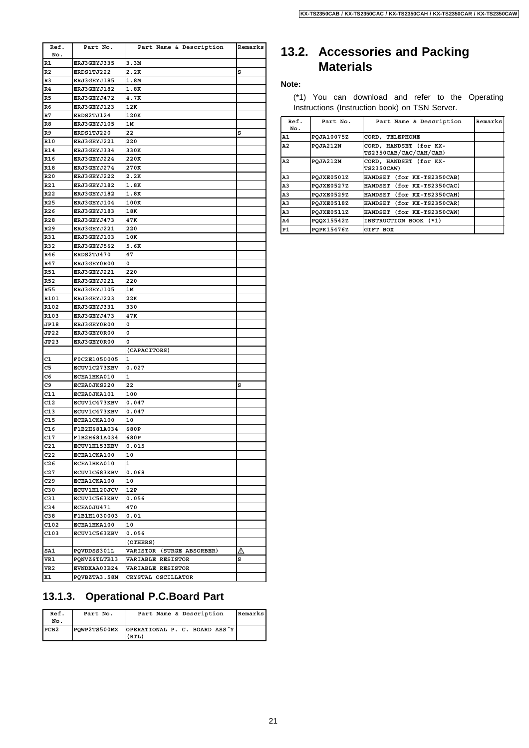| Ref.            | Part No.            | Part Name & Description   | Remarks |
|-----------------|---------------------|---------------------------|---------|
| No.             |                     |                           |         |
| R1              | <b>ERJ3GEYJ335</b>  | 3.3M                      |         |
| R2              | ERDS1TJ222          | 2.2K                      | s       |
| R3              | ERJ3GEYJ185         | 1.8M                      |         |
| R4              | ERJ3GEYJ182         | 1.8K                      |         |
| R5              | ERJ3GEYJ472         | 4.7K                      |         |
| R6              | ERJ3GEYJ123         | 12K                       |         |
| R7              | ERDS2TJ124          | 120K                      |         |
| R8              | <b>ERJ3GEYJ105</b>  | 1М                        |         |
| R9              | ERDS1TJ220          | 22                        | s       |
| R10             | <b>ERJ3GEYJ221</b>  | 220                       |         |
| R14             | ERJ3GEYJ334         | 330K                      |         |
| R16             | <b>ERJ3GEYJ224</b>  | 220K                      |         |
| R18             | ERJ3GEYJ274         | 270K                      |         |
| R20             | <b>ERJ3GEYJ222</b>  | 2.2K                      |         |
| R21             | ERJ3GEYJ182         | 1.8K                      |         |
| R22             | ERJ3GEYJ182         | 1.8K                      |         |
| R25             | ERJ3GEYJ104         | 100K                      |         |
| R26             | <b>ERJ3GEYJ183</b>  | 18K                       |         |
| R28             | ERJ3GEYJ473         | 47K                       |         |
| R <sub>29</sub> | <b>ERJ3GEYJ221</b>  | 220                       |         |
| R31             | <b>ERJ3GEYJ103</b>  | 10K                       |         |
| R32             | ERJ3GEYJ562         |                           |         |
| R46             | ERDS2TJ470          | 5.6K<br>47                |         |
|                 |                     |                           |         |
| R47             | ERJ3GEY0R00         | 0                         |         |
| R51             | <b>ERJ3GEYJ221</b>  | 220                       |         |
| R52             | ERJ3GEYJ221         | 220                       |         |
| R55             | <b>ERJ3GEYJ105</b>  | 1M                        |         |
| R101            | ERJ3GEYJ223         | 22K                       |         |
| R102            | <b>ERJ3GEYJ331</b>  | 330                       |         |
| R103            | ERJ3GEYJ473         | 47K                       |         |
| JP18            | <b>ERJ3GEY0R00</b>  | 0                         |         |
| JP22            | ERJ3GEY0R00         | 0                         |         |
| JP23            | <b>ERJ3GEY0R00</b>  | 0                         |         |
|                 |                     | (CAPACITORS)              |         |
| C1              | F0C2E1050005        | 1                         |         |
| C5              | <b>ECUV1C273KBV</b> | 0.027                     |         |
| C6              | ECEA1HKA010         | 1                         |         |
| C9              | ECEA0JKS220         | 22                        | s       |
| C11             | <b>ECEA0JKA101</b>  | 100                       |         |
| C12             | <b>ECUV1C473KBV</b> | 0.047                     |         |
| C13             | ECUV1C473KBV        | 0.047                     |         |
| C15             | ECEA1CKA100         | 10                        |         |
| C16             | F1B2H681A034        | 680P                      |         |
| C17             | F1B2H681A034        | 680P                      |         |
| C21             | <b>ECUV1H153KBV</b> | 0.015                     |         |
| C22             | <b>ECEA1CKA100</b>  | 10                        |         |
| C26             | ECEA1HKA010         | 1                         |         |
| C27             | ECUV1C683KBV        | 0.068                     |         |
| C29             | ECEA1CKA100         | 10                        |         |
| C30             | ECUV1H120JCV        | 12 P                      |         |
| C31             | <b>ECUV1C563KBV</b> | 0.056                     |         |
| C34             | ECEA0JU471          | 470                       |         |
| C38             | F1B1H1030003        | 0.01                      |         |
|                 |                     |                           |         |
| C102            | ECEA1HKA100         | 10                        |         |
| C103            | <b>ECUV1C563KBV</b> | 0.056                     |         |
|                 |                     | (OTHERS)                  |         |
| SA1             | PQVDDSS301L         | VARISTOR (SURGE ABSORBER) | △       |
| VR1             | PQNVZ6TLTB13        | VARIABLE RESISTOR         | s       |
| VR2             | EVNDXAA03B24        | <b>VARIABLE RESISTOR</b>  |         |
| X1              | PQVBZTA3.58M        | CRYSTAL OSCILLATOR        |         |

## **13.2. Accessories and Packing Materials**

#### **Note:**

(\*1) You can download and refer to the Operating Instructions (Instruction book) on TSN Server.

| Ref.<br>No.    | Part No.   | Part Name & Description                          | Remarks |
|----------------|------------|--------------------------------------------------|---------|
| Α1             | POJA10075Z | CORD, TELEPHONE                                  |         |
| A2             | PQJA212N   | CORD, HANDSET (for KX-<br>TS2350CAB/CAC/CAH/CAR) |         |
| A2             | POJA212M   | CORD, HANDSET (for KX-<br><b>TS2350CAW)</b>      |         |
| A <sub>3</sub> | POJXE0501Z | HANDSET (for KX-TS2350CAB)                       |         |
| A <sub>3</sub> | POJXE0527Z | HANDSET (for KX-TS2350CAC)                       |         |
| A <sub>3</sub> | POJXE0529Z | HANDSET (for KX-TS2350CAH)                       |         |
| A <sub>3</sub> | POJXE0518Z | HANDSET (for KX-TS2350CAR)                       |         |
| A <sub>3</sub> | POJXE0511Z | HANDSET (for KX-TS2350CAW)                       |         |
| A4             | PO0X15542Z | INSTRUCTION BOOK (*1)                            |         |
| P1             | POPK15476Z | GIFT BOX                                         |         |

### **13.1.3. Operational P.C.Board Part**

| Ref.<br>No. | Part No.     | Part Name & Description                | Remarks |
|-------------|--------------|----------------------------------------|---------|
| PCB2        | POWP2TS500MX | OPERATIONAL P. C. BOARD ASS Y<br>(RTL) |         |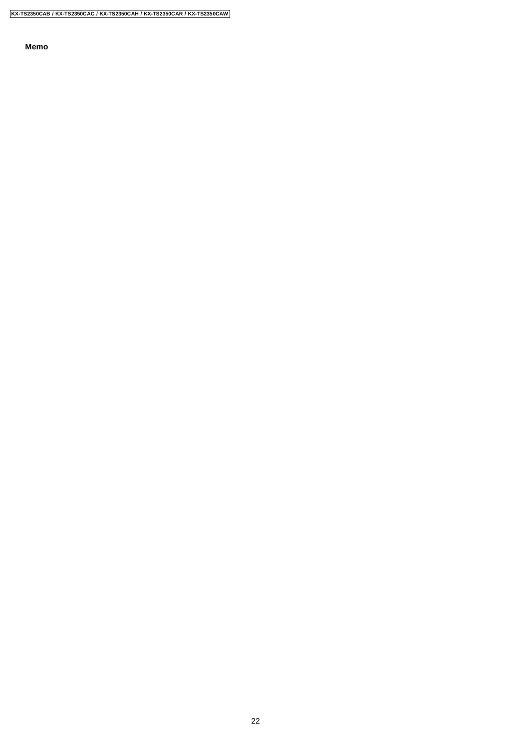**Memo**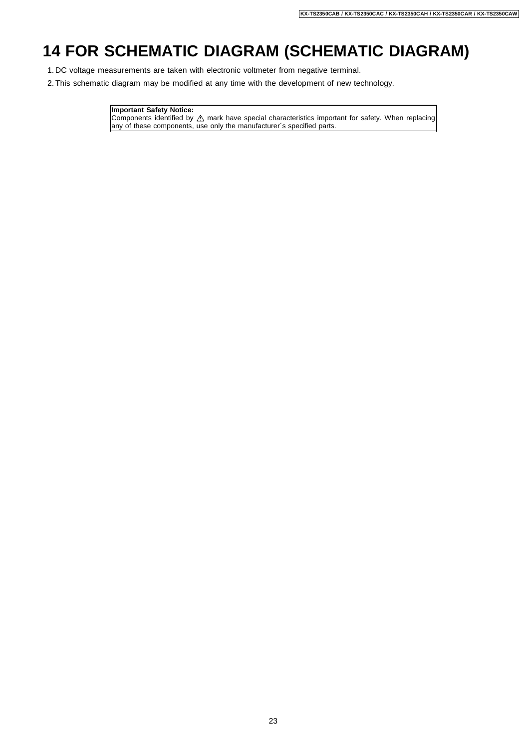# **14 FOR SCHEMATIC DIAGRAM (SCHEMATIC DIAGRAM)**

- 1. DC voltage measurements are taken with electronic voltmeter from negative terminal.
- 2. This schematic diagram may be modified at any time with the development of new technology.

#### **Important Safety Notice:**

Components identified by  $\triangle$  mark have special characteristics important for safety. When replacing any of these components, use only the manufacturer´s specified parts.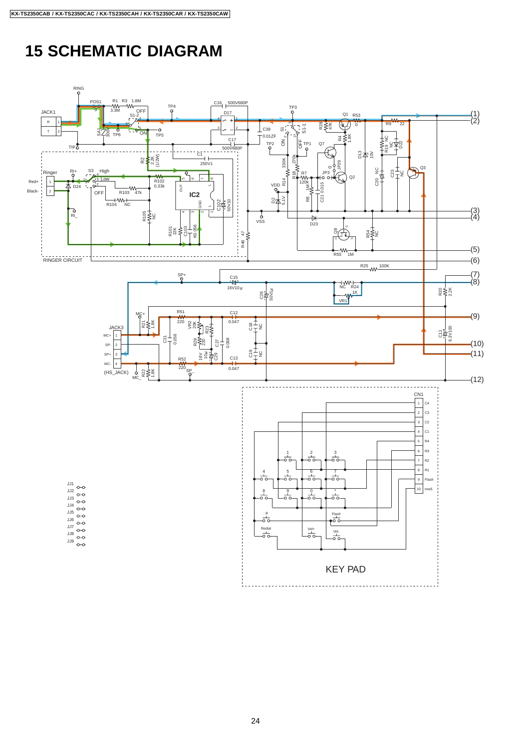# **15 SCHEMATIC DIAGRAM**

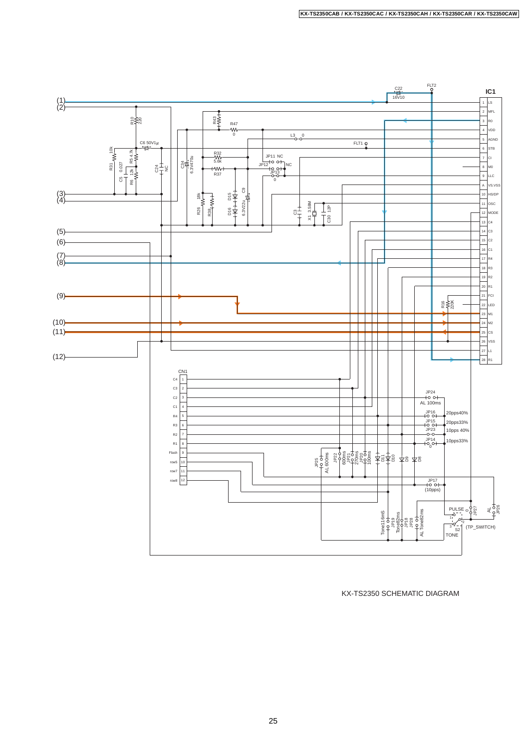

KX-TS2350 SCHEMATIC DIAGRAM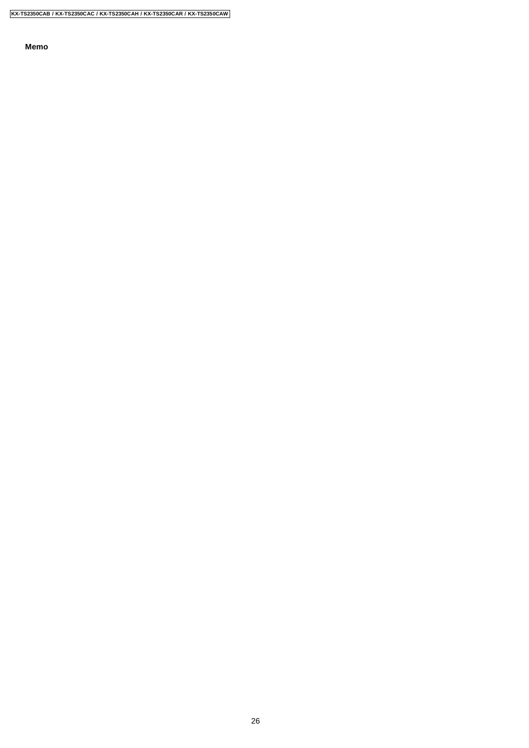**Memo**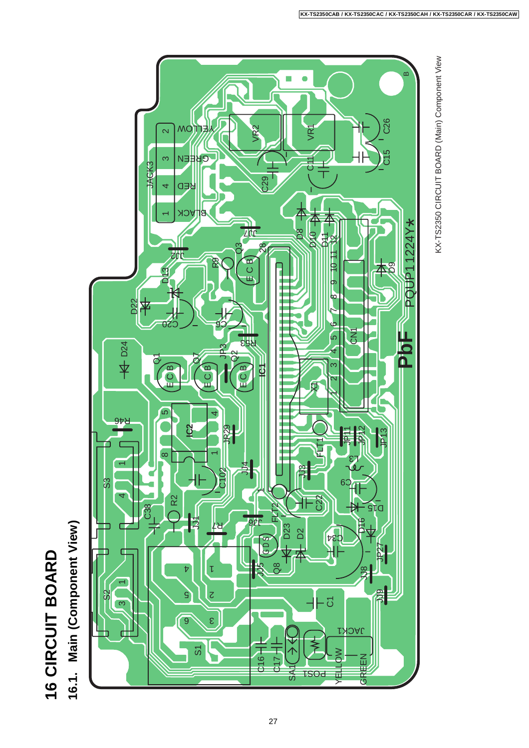

16.1. Main (Component View) **16.1. Main (Component View)**



KX-TS2350 CIRCUIT BOARD (Main) Component View

KX-TS2350 CIRCUIT BOARD (Main) Component View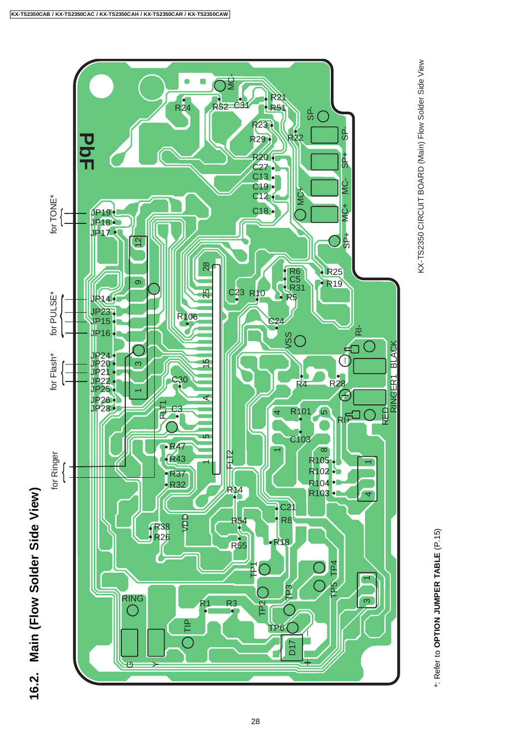

# KX-TS2350 CIRCUIT BOARD (Main) Flow Solder Side View KX-TS2350 CIRCUIT BOARD (Main) Flow Solder Side View

\*: Refer to **OPTION JUMPER TABLE** (P.15)

\*: Refer to OPTION JUMPER TABLE (P.15)

16.2. Main (Flow Solder Side View) **16.2. Main (Flow Solder Side View)**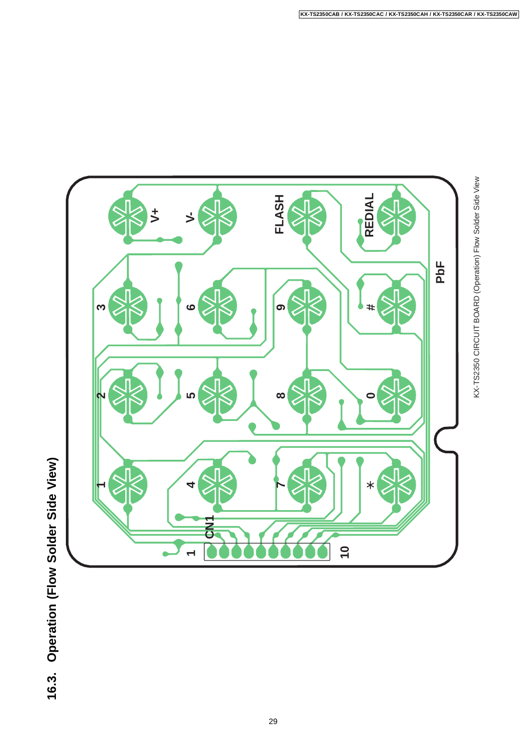